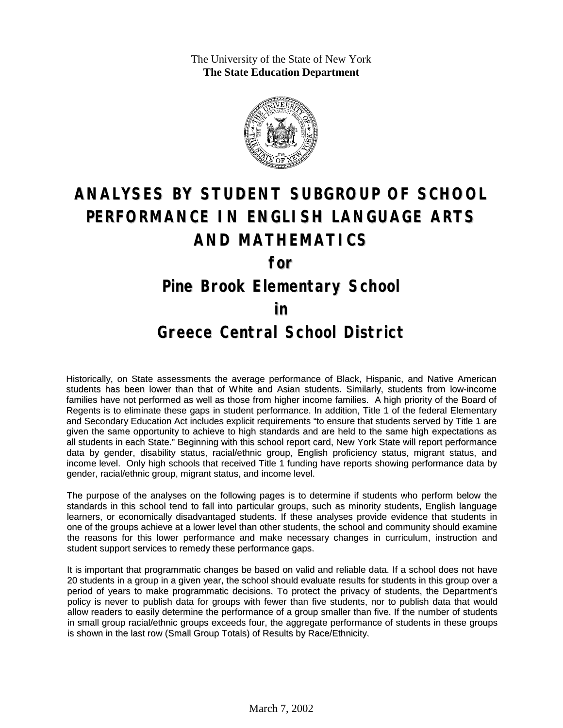The University of the State of New York **The State Education Department**



## **ANALYSES BY STUDENT SUBGROUP OF SCHOOL PERFORMANCE IN ENGLISH LANGUAGE ARTS AND MATHEMATICS**

**for**

**Pine Brook Elementary School**

**in**

## **Greece Central School District**

Historically, on State assessments the average performance of Black, Hispanic, and Native American students has been lower than that of White and Asian students. Similarly, students from low-income families have not performed as well as those from higher income families. A high priority of the Board of Regents is to eliminate these gaps in student performance. In addition, Title 1 of the federal Elementary and Secondary Education Act includes explicit requirements "to ensure that students served by Title 1 are given the same opportunity to achieve to high standards and are held to the same high expectations as all students in each State." Beginning with this school report card, New York State will report performance data by gender, disability status, racial/ethnic group, English proficiency status, migrant status, and income level. Only high schools that received Title 1 funding have reports showing performance data by gender, racial/ethnic group, migrant status, and income level.

The purpose of the analyses on the following pages is to determine if students who perform below the standards in this school tend to fall into particular groups, such as minority students, English language learners, or economically disadvantaged students. If these analyses provide evidence that students in one of the groups achieve at a lower level than other students, the school and community should examine the reasons for this lower performance and make necessary changes in curriculum, instruction and student support services to remedy these performance gaps.

It is important that programmatic changes be based on valid and reliable data. If a school does not have 20 students in a group in a given year, the school should evaluate results for students in this group over a period of years to make programmatic decisions. To protect the privacy of students, the Department's policy is never to publish data for groups with fewer than five students, nor to publish data that would allow readers to easily determine the performance of a group smaller than five. If the number of students in small group racial/ethnic groups exceeds four, the aggregate performance of students in these groups is shown in the last row (Small Group Totals) of Results by Race/Ethnicity.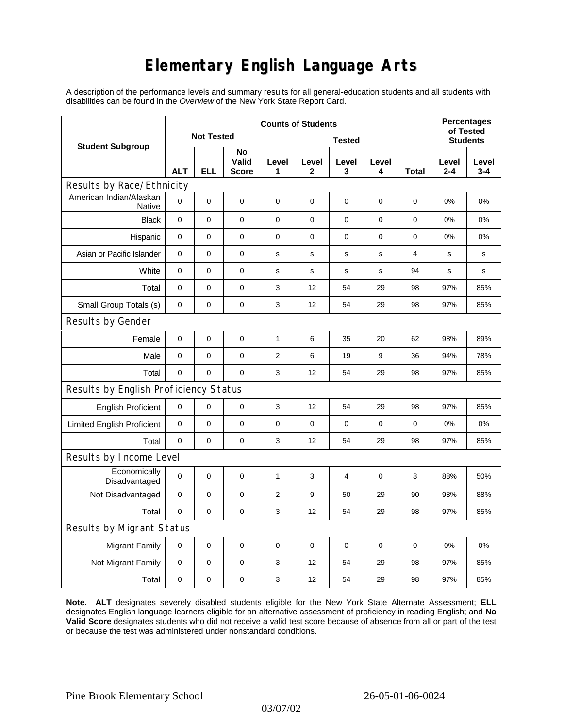## **Elementary English Language Arts**

A description of the performance levels and summary results for all general-education students and all students with disabilities can be found in the *Overview* of the New York State Report Card.

| <b>Student Subgroup</b>                  | <b>Counts of Students</b> |            |                             |                |             |                |             |       | <b>Percentages</b>           |                  |
|------------------------------------------|---------------------------|------------|-----------------------------|----------------|-------------|----------------|-------------|-------|------------------------------|------------------|
|                                          | <b>Not Tested</b>         |            |                             | <b>Tested</b>  |             |                |             |       | of Tested<br><b>Students</b> |                  |
|                                          | <b>ALT</b>                | <b>ELL</b> | No<br>Valid<br><b>Score</b> | Level<br>1     | Level<br>2  | Level<br>3     | Level<br>4  | Total | Level<br>$2 - 4$             | Level<br>$3 - 4$ |
| Results by Race/Ethnicity                |                           |            |                             |                |             |                |             |       |                              |                  |
| American Indian/Alaskan<br><b>Native</b> | $\mathbf 0$               | 0          | 0                           | $\pmb{0}$      | 0           | $\mathbf 0$    | 0           | 0     | 0%                           | 0%               |
| <b>Black</b>                             | 0                         | 0          | $\pmb{0}$                   | $\pmb{0}$      | $\mathbf 0$ | $\mathbf 0$    | 0           | 0     | 0%                           | 0%               |
| Hispanic                                 | 0                         | 0          | $\pmb{0}$                   | $\pmb{0}$      | 0           | 0              | 0           | 0     | 0%                           | 0%               |
| Asian or Pacific Islander                | $\mathbf 0$               | 0          | $\mathbf 0$                 | s              | $\mathbf s$ | ${\bf s}$      | s           | 4     | s                            | $\mathbf s$      |
| White                                    | $\mathbf 0$               | 0          | $\pmb{0}$                   | s              | s           | s              | s           | 94    | s                            | s                |
| Total                                    | 0                         | 0          | $\pmb{0}$                   | 3              | 12          | 54             | 29          | 98    | 97%                          | 85%              |
| Small Group Totals (s)                   | 0                         | 0          | 0                           | 3              | 12          | 54             | 29          | 98    | 97%                          | 85%              |
| Results by Gender                        |                           |            |                             |                |             |                |             |       |                              |                  |
| Female                                   | $\mathbf 0$               | 0          | $\pmb{0}$                   | 1              | 6           | 35             | 20          | 62    | 98%                          | 89%              |
| Male                                     | 0                         | 0          | 0                           | $\overline{c}$ | 6           | 19             | 9           | 36    | 94%                          | 78%              |
| Total                                    | 0                         | 0          | $\Omega$                    | 3              | 12          | 54             | 29          | 98    | 97%                          | 85%              |
| Results by English Proficiency Status    |                           |            |                             |                |             |                |             |       |                              |                  |
| <b>English Proficient</b>                | 0                         | 0          | 0                           | 3              | 12          | 54             | 29          | 98    | 97%                          | 85%              |
| <b>Limited English Proficient</b>        | $\mathbf 0$               | 0          | $\pmb{0}$                   | $\pmb{0}$      | 0           | $\mathbf 0$    | 0           | 0     | 0%                           | 0%               |
| Total                                    | $\mathbf 0$               | 0          | $\mathbf 0$                 | 3              | 12          | 54             | 29          | 98    | 97%                          | 85%              |
| Results by Income Level                  |                           |            |                             |                |             |                |             |       |                              |                  |
| Economically<br>Disadvantaged            | $\mathbf 0$               | 0          | $\mathbf 0$                 | 1              | 3           | $\overline{4}$ | 0           | 8     | 88%                          | 50%              |
| Not Disadvantaged                        | $\mathbf 0$               | 0          | $\mathbf 0$                 | 2              | 9           | 50             | 29          | 90    | 98%                          | 88%              |
| Total                                    | $\mathbf 0$               | 0          | $\mathbf 0$                 | 3              | 12          | 54             | 29          | 98    | 97%                          | 85%              |
| Results by Migrant Status                |                           |            |                             |                |             |                |             |       |                              |                  |
| <b>Migrant Family</b>                    | 0                         | 0          | $\mathbf 0$                 | $\mathbf 0$    | 0           | $\mathbf 0$    | $\mathbf 0$ | 0     | 0%                           | 0%               |
| Not Migrant Family                       | $\mathbf 0$               | 0          | $\pmb{0}$                   | 3              | 12          | 54             | 29          | 98    | 97%                          | 85%              |
| Total                                    | $\mathbf 0$               | 0          | $\pmb{0}$                   | 3              | 12          | 54             | 29          | 98    | 97%                          | 85%              |

**Note. ALT** designates severely disabled students eligible for the New York State Alternate Assessment; **ELL** designates English language learners eligible for an alternative assessment of proficiency in reading English; and **No Valid Score** designates students who did not receive a valid test score because of absence from all or part of the test or because the test was administered under nonstandard conditions.

03/07/02